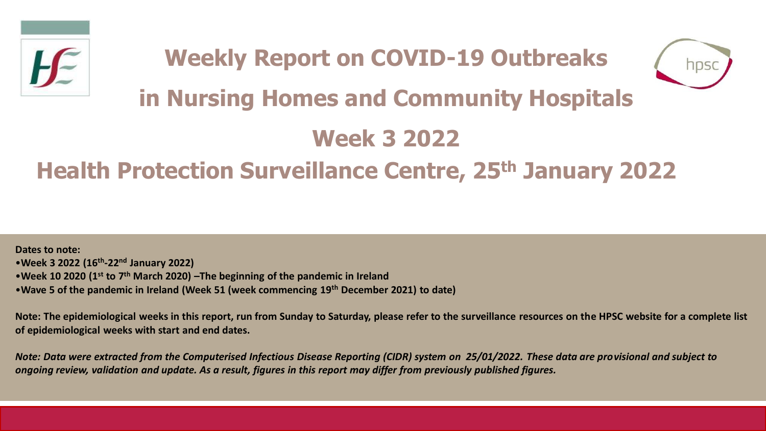



# **in Nursing Homes and Community Hospitals**

## **Week 3 2022**

## **Health Protection Surveillance Centre, 25th January 2022**

**Dates to note:** •**Week 3 2022 (16th -22nd January 2022)** •**Week 10 2020 (1st to 7th March 2020) –The beginning of the pandemic in Ireland**  •**Wave 5 of the pandemic in Ireland (Week 51 (week commencing 19th December 2021) to date)**

**Note: The epidemiological weeks in this report, run from Sunday to Saturday, please refer to the surveillance resources on the HPSC website for a complete list of epidemiological weeks with start and end dates.**

*Note: Data were extracted from the Computerised Infectious Disease Reporting (CIDR) system on 25/01/2022. These data are provisional and subject to ongoing review, validation and update. As a result, figures in this report may differ from previously published figures.*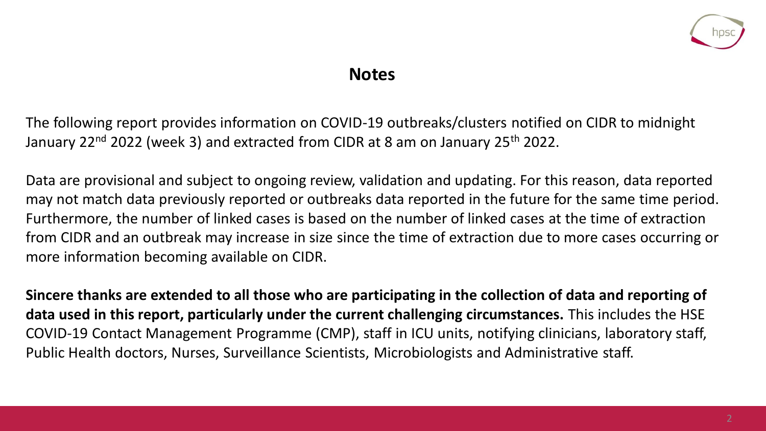

### **Notes**

The following report provides information on COVID-19 outbreaks/clusters notified on CIDR to midnight January 22<sup>nd</sup> 2022 (week 3) and extracted from CIDR at 8 am on January 25<sup>th</sup> 2022.

Data are provisional and subject to ongoing review, validation and updating. For this reason, data reported may not match data previously reported or outbreaks data reported in the future for the same time period. Furthermore, the number of linked cases is based on the number of linked cases at the time of extraction from CIDR and an outbreak may increase in size since the time of extraction due to more cases occurring or more information becoming available on CIDR.

**Sincere thanks are extended to all those who are participating in the collection of data and reporting of data used in this report, particularly under the current challenging circumstances.** This includes the HSE COVID-19 Contact Management Programme (CMP), staff in ICU units, notifying clinicians, laboratory staff, Public Health doctors, Nurses, Surveillance Scientists, Microbiologists and Administrative staff.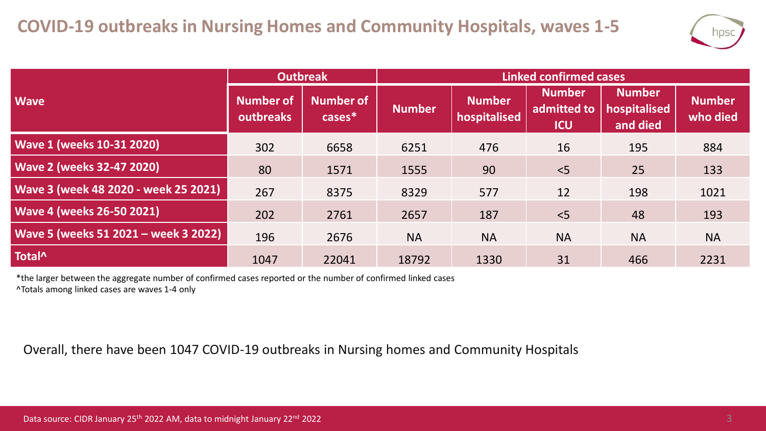

|                                      | <b>Outbreak</b>               |                        | Linked confirmed cases |                               |                                            |                                           |                           |  |
|--------------------------------------|-------------------------------|------------------------|------------------------|-------------------------------|--------------------------------------------|-------------------------------------------|---------------------------|--|
| <b>Wave</b>                          | Number of<br><b>outbreaks</b> | Number of<br>$cases^*$ | <b>Number</b>          | <b>Number</b><br>hospitalised | <b>Number</b><br>admitted to<br><b>ICU</b> | <b>Number</b><br>hospitalised<br>and died | <b>Number</b><br>who died |  |
| Wave 1 (weeks 10-31 2020)            | 302                           | 6658                   | 6251                   | 476                           | 16                                         | 195                                       | 884                       |  |
| <b>Wave 2 (weeks 32-47 2020)</b>     | 80                            | 1571                   | 1555                   | 90                            | < 5                                        | 25                                        | 133                       |  |
| Wave 3 (week 48 2020 - week 25 2021) | 267                           | 8375                   | 8329                   | 577                           | 12                                         | 198                                       | 1021                      |  |
| <b>Wave 4 (weeks 26-50 2021)</b>     | 202                           | 2761                   | 2657                   | 187                           | < 5                                        | 48                                        | 193                       |  |
| Wave 5 (weeks 51 2021 - week 3 2022) | 196                           | 2676                   | <b>NA</b>              | <b>NA</b>                     | <b>NA</b>                                  | <b>NA</b>                                 | <b>NA</b>                 |  |
| Total <sup>^</sup>                   | 1047                          | 22041                  | 18792                  | 1330                          | 31                                         | 466                                       | 2231                      |  |

\*the larger between the aggregate number of confirmed cases reported or the number of confirmed linked cases ^Totals among linked cases are waves 1-4 only

Overall, there have been 1047 COVID-19 outbreaks in Nursing homes and Community Hospitals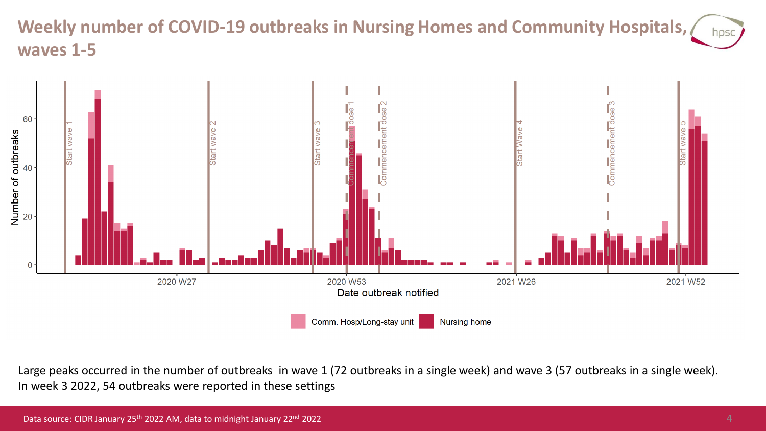### **Weekly number of COVID-19 outbreaks in Nursing Homes and Community Hospitals,**  hpsc **waves 1-5**



Large peaks occurred in the number of outbreaks in wave 1 (72 outbreaks in a single week) and wave 3 (57 outbreaks in a single week). In week 3 2022, 54 outbreaks were reported in these settings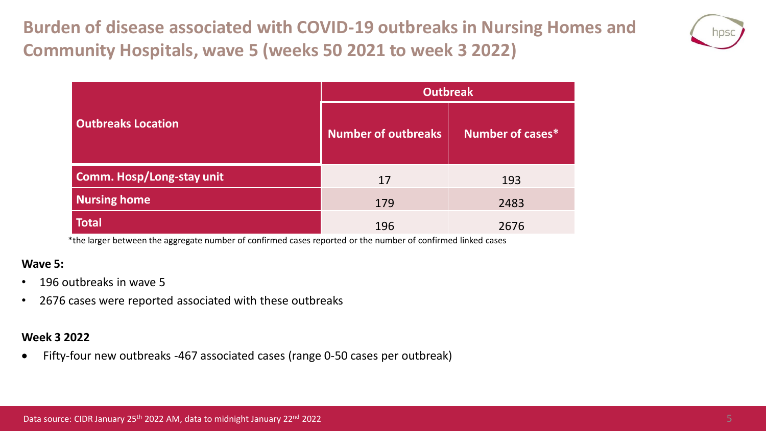**Burden of disease associated with COVID-19 outbreaks in Nursing Homes and Community Hospitals, wave 5 (weeks 50 2021 to week 3 2022)**



|                           | <b>Outbreak</b>            |                  |  |  |
|---------------------------|----------------------------|------------------|--|--|
| <b>Outbreaks Location</b> | <b>Number of outbreaks</b> | Number of cases* |  |  |
| Comm. Hosp/Long-stay unit | 17                         | 193              |  |  |
| <b>Nursing home</b>       | 179                        | 2483             |  |  |
| <b>Total</b>              | 196                        | 2676             |  |  |

\*the larger between the aggregate number of confirmed cases reported or the number of confirmed linked cases

#### **Wave 5:**

- 196 outbreaks in wave 5
- 2676 cases were reported associated with these outbreaks

#### **Week 3 2022**

• Fifty-four new outbreaks -467 associated cases (range 0-50 cases per outbreak)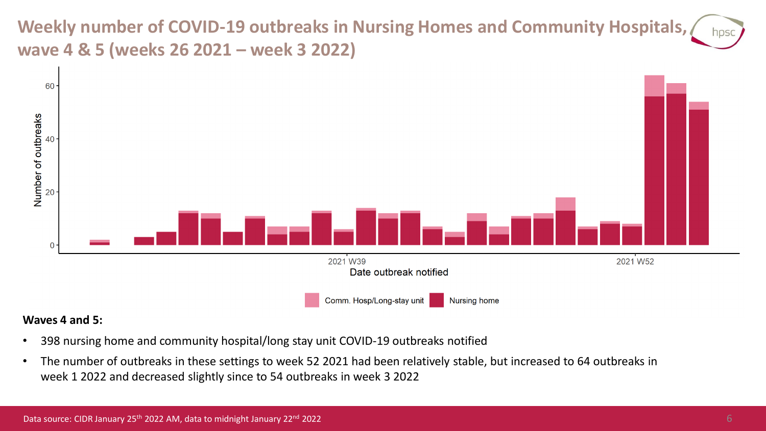### **Weekly number of COVID-19 outbreaks in Nursing Homes and Community Hospitals, wave 4 & 5 (weeks 26 2021 – week 3 2022)**



#### **Waves 4 and 5:**

- 398 nursing home and community hospital/long stay unit COVID-19 outbreaks notified
- The number of outbreaks in these settings to week 52 2021 had been relatively stable, but increased to 64 outbreaks in week 1 2022 and decreased slightly since to 54 outbreaks in week 3 2022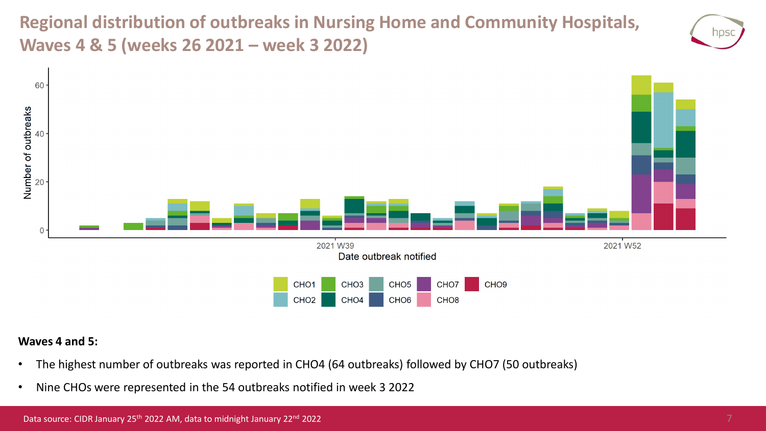**Regional distribution of outbreaks in Nursing Home and Community Hospitals, Waves 4 & 5 (weeks 26 2021 – week 3 2022)**





#### **Waves 4 and 5:**

- The highest number of outbreaks was reported in CHO4 (64 outbreaks) followed by CHO7 (50 outbreaks)
- Nine CHOs were represented in the 54 outbreaks notified in week 3 2022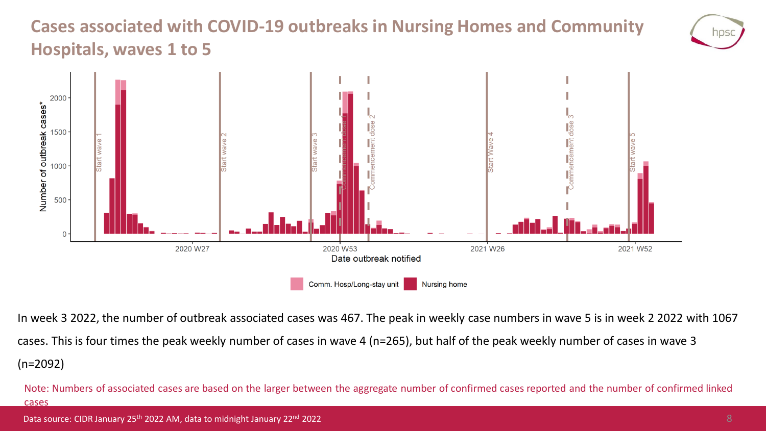### **Cases associated with COVID-19 outbreaks in Nursing Homes and Community Hospitals, waves 1 to 5**



In week 3 2022, the number of outbreak associated cases was 467. The peak in weekly case numbers in wave 5 is in week 2 2022 with 1067 cases. This is four times the peak weekly number of cases in wave 4 (n=265), but half of the peak weekly number of cases in wave 3 (n=2092)

Note: Numbers of associated cases are based on the larger between the aggregate number of confirmed cases reported and the number of confirmed linked cases

NDS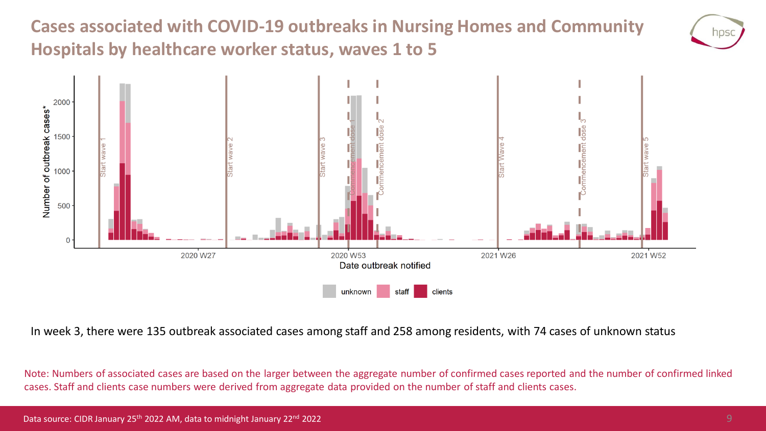**Cases associated with COVID-19 outbreaks in Nursing Homes and Community Hospitals by healthcare worker status, waves 1 to 5**



In week 3, there were 135 outbreak associated cases among staff and 258 among residents, with 74 cases of unknown status

Note: Numbers of associated cases are based on the larger between the aggregate number of confirmed cases reported and the number of confirmed linked cases. Staff and clients case numbers were derived from aggregate data provided on the number of staff and clients cases.

NDS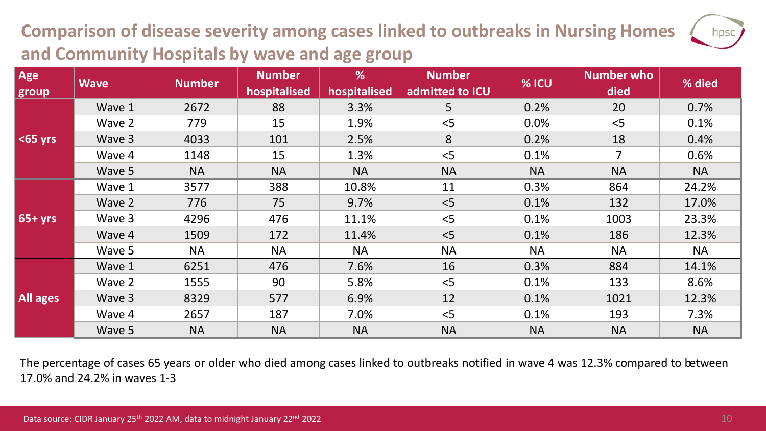## **Comparison of disease severity among cases linked to outbreaks in Nursing Homes and Community Hospitals by wave and age group**

| Age<br>group  | <b>Wave</b> | <b>Number</b> | <b>Number</b><br>hospitalised | %<br>hospitalised | <b>Number</b><br>admitted to ICU | % ICU     | <b>Number who</b><br>died | % died    |
|---------------|-------------|---------------|-------------------------------|-------------------|----------------------------------|-----------|---------------------------|-----------|
| $\leq$ 65 yrs | Wave 1      | 2672          | 88                            | 3.3%              | 5                                | 0.2%      | 20                        | 0.7%      |
|               | Wave 2      | 779           | 15                            | 1.9%              | < 5                              | 0.0%      | < 5                       | 0.1%      |
|               | Wave 3      | 4033          | 101                           | 2.5%              | 8                                | 0.2%      | 18                        | 0.4%      |
|               | Wave 4      | 1148          | 15                            | 1.3%              | < 5                              | 0.1%      | $\overline{7}$            | 0.6%      |
|               | Wave 5      | <b>NA</b>     | <b>NA</b>                     | <b>NA</b>         | <b>NA</b>                        | <b>NA</b> | <b>NA</b>                 | <b>NA</b> |
| $65+yrs$      | Wave 1      | 3577          | 388                           | 10.8%             | 11                               | 0.3%      | 864                       | 24.2%     |
|               | Wave 2      | 776           | 75                            | 9.7%              | < 5                              | 0.1%      | 132                       | 17.0%     |
|               | Wave 3      | 4296          | 476                           | 11.1%             | < 5                              | 0.1%      | 1003                      | 23.3%     |
|               | Wave 4      | 1509          | 172                           | 11.4%             | < 5                              | 0.1%      | 186                       | 12.3%     |
|               | Wave 5      | <b>NA</b>     | <b>NA</b>                     | <b>NA</b>         | <b>NA</b>                        | <b>NA</b> | <b>NA</b>                 | <b>NA</b> |
| All ages      | Wave 1      | 6251          | 476                           | 7.6%              | 16                               | 0.3%      | 884                       | 14.1%     |
|               | Wave 2      | 1555          | 90                            | 5.8%              | < 5                              | 0.1%      | 133                       | 8.6%      |
|               | Wave 3      | 8329          | 577                           | 6.9%              | 12                               | 0.1%      | 1021                      | 12.3%     |
|               | Wave 4      | 2657          | 187                           | 7.0%              | < 5                              | 0.1%      | 193                       | 7.3%      |
|               | Wave 5      | <b>NA</b>     | <b>NA</b>                     | <b>NA</b>         | <b>NA</b>                        | <b>NA</b> | <b>NA</b>                 | <b>NA</b> |

The percentage of cases 65 years or older who died among cases linked to outbreaks notified in wave 4 was 12.3% compared to between 17.0% and 24.2% in waves 1-3

hpsc